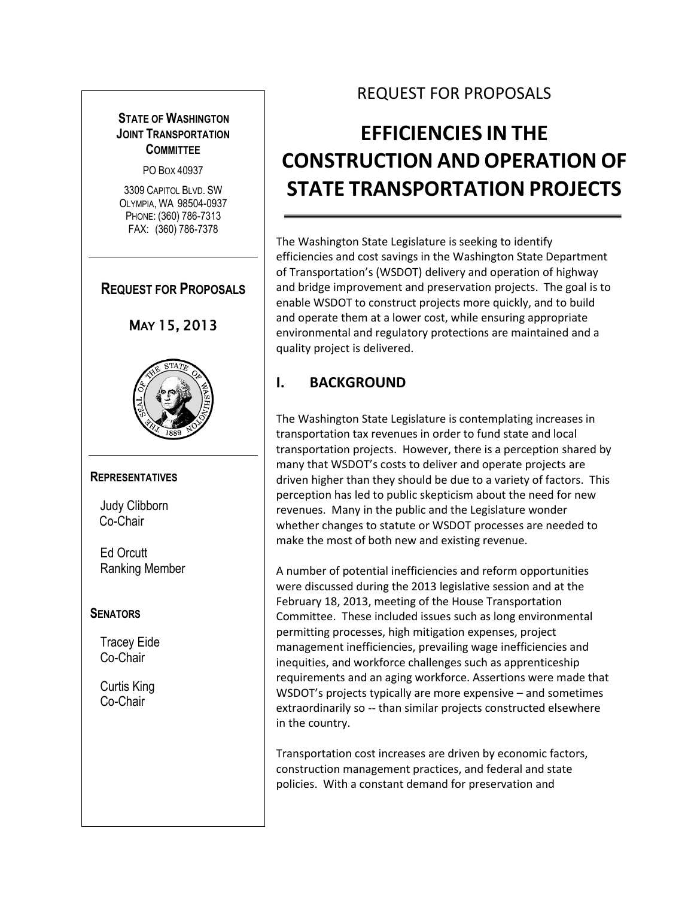## **STATE OF WASHINGTON JOINT TRANSPORTATION COMMITTEE**

PO BOX 40937

3309 CAPITOL BLVD. SW OLYMPIA, WA 98504-0937 PHONE: (360) 786-7313 FAX: (360) 786-7378

# **REQUEST FOR PROPOSALS**





#### **REPRESENTATIVES**

Judy Clibborn Co-Chair

Ed Orcutt Ranking Member

#### **SENATORS**

Tracey Eide Co-Chair

Curtis King Co-Chair

# REQUEST FOR PROPOSALS

# **EFFICIENCIES IN THE CONSTRUCTION AND OPERATION OF STATE TRANSPORTATION PROJECTS**

The Washington State Legislature is seeking to identify efficiencies and cost savings in the Washington State Department of Transportation's (WSDOT) delivery and operation of highway and bridge improvement and preservation projects. The goal is to enable WSDOT to construct projects more quickly, and to build and operate them at a lower cost, while ensuring appropriate environmental and regulatory protections are maintained and a quality project is delivered.

# **I. BACKGROUND**

The Washington State Legislature is contemplating increases in transportation tax revenues in order to fund state and local transportation projects. However, there is a perception shared by many that WSDOT's costs to deliver and operate projects are driven higher than they should be due to a variety of factors. This perception has led to public skepticism about the need for new revenues. Many in the public and the Legislature wonder whether changes to statute or WSDOT processes are needed to make the most of both new and existing revenue.

A number of potential inefficiencies and reform opportunities were discussed during the 2013 legislative session and at the February 18, 2013, meeting of the House Transportation Committee. These included issues such as long environmental permitting processes, high mitigation expenses, project management inefficiencies, prevailing wage inefficiencies and inequities, and workforce challenges such as apprenticeship requirements and an aging workforce. Assertions were made that WSDOT's projects typically are more expensive – and sometimes extraordinarily so -- than similar projects constructed elsewhere in the country.

Transportation cost increases are driven by economic factors, construction management practices, and federal and state policies. With a constant demand for preservation and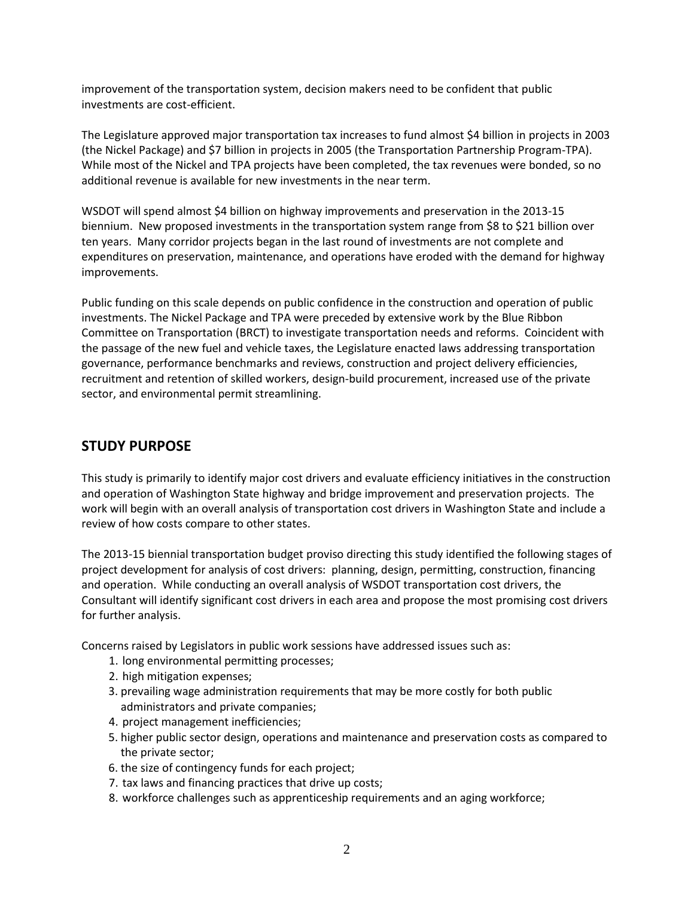improvement of the transportation system, decision makers need to be confident that public investments are cost-efficient.

The Legislature approved major transportation tax increases to fund almost \$4 billion in projects in 2003 (the Nickel Package) and \$7 billion in projects in 2005 (the Transportation Partnership Program-TPA). While most of the Nickel and TPA projects have been completed, the tax revenues were bonded, so no additional revenue is available for new investments in the near term.

WSDOT will spend almost \$4 billion on highway improvements and preservation in the 2013-15 biennium. New proposed investments in the transportation system range from \$8 to \$21 billion over ten years. Many corridor projects began in the last round of investments are not complete and expenditures on preservation, maintenance, and operations have eroded with the demand for highway improvements.

Public funding on this scale depends on public confidence in the construction and operation of public investments. The Nickel Package and TPA were preceded by extensive work by the Blue Ribbon Committee on Transportation (BRCT) to investigate transportation needs and reforms. Coincident with the passage of the new fuel and vehicle taxes, the Legislature enacted laws addressing transportation governance, performance benchmarks and reviews, construction and project delivery efficiencies, recruitment and retention of skilled workers, design-build procurement, increased use of the private sector, and environmental permit streamlining.

## **STUDY PURPOSE**

This study is primarily to identify major cost drivers and evaluate efficiency initiatives in the construction and operation of Washington State highway and bridge improvement and preservation projects. The work will begin with an overall analysis of transportation cost drivers in Washington State and include a review of how costs compare to other states.

The 2013-15 biennial transportation budget proviso directing this study identified the following stages of project development for analysis of cost drivers: planning, design, permitting, construction, financing and operation. While conducting an overall analysis of WSDOT transportation cost drivers, the Consultant will identify significant cost drivers in each area and propose the most promising cost drivers for further analysis.

Concerns raised by Legislators in public work sessions have addressed issues such as:

- 1. long environmental permitting processes;
- 2. high mitigation expenses;
- 3. prevailing wage administration requirements that may be more costly for both public administrators and private companies;
- 4. project management inefficiencies;
- 5. higher public sector design, operations and maintenance and preservation costs as compared to the private sector;
- 6. the size of contingency funds for each project;
- 7. tax laws and financing practices that drive up costs;
- 8. workforce challenges such as apprenticeship requirements and an aging workforce;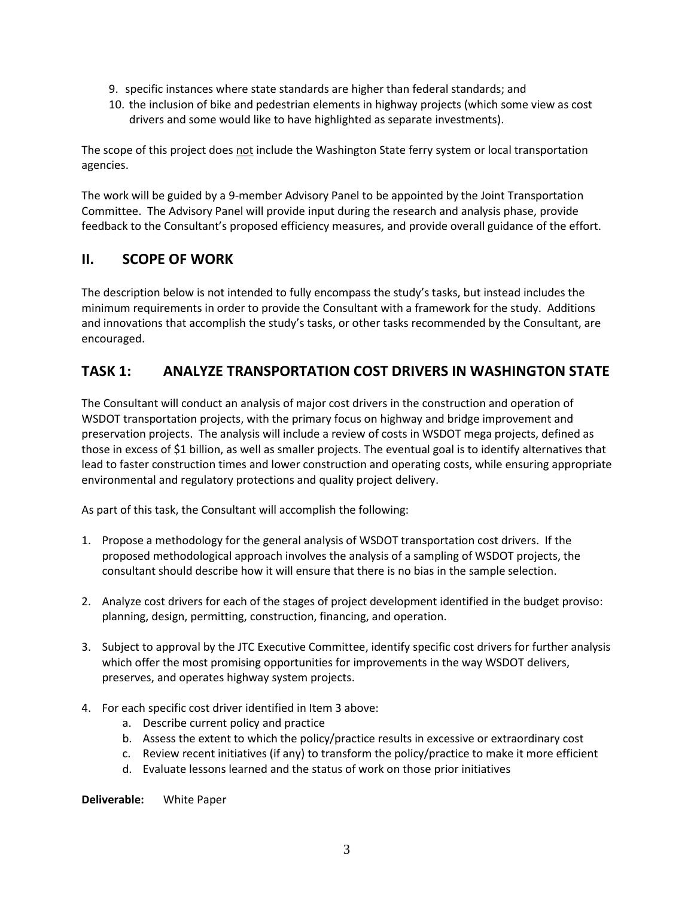- 9. specific instances where state standards are higher than federal standards; and
- 10. the inclusion of bike and pedestrian elements in highway projects (which some view as cost drivers and some would like to have highlighted as separate investments).

The scope of this project does not include the Washington State ferry system or local transportation agencies.

The work will be guided by a 9-member Advisory Panel to be appointed by the Joint Transportation Committee. The Advisory Panel will provide input during the research and analysis phase, provide feedback to the Consultant's proposed efficiency measures, and provide overall guidance of the effort.

# **II. SCOPE OF WORK**

The description below is not intended to fully encompass the study's tasks, but instead includes the minimum requirements in order to provide the Consultant with a framework for the study. Additions and innovations that accomplish the study's tasks, or other tasks recommended by the Consultant, are encouraged.

# **TASK 1: ANALYZE TRANSPORTATION COST DRIVERS IN WASHINGTON STATE**

The Consultant will conduct an analysis of major cost drivers in the construction and operation of WSDOT transportation projects, with the primary focus on highway and bridge improvement and preservation projects. The analysis will include a review of costs in WSDOT mega projects, defined as those in excess of \$1 billion, as well as smaller projects. The eventual goal is to identify alternatives that lead to faster construction times and lower construction and operating costs, while ensuring appropriate environmental and regulatory protections and quality project delivery.

As part of this task, the Consultant will accomplish the following:

- 1. Propose a methodology for the general analysis of WSDOT transportation cost drivers. If the proposed methodological approach involves the analysis of a sampling of WSDOT projects, the consultant should describe how it will ensure that there is no bias in the sample selection.
- 2. Analyze cost drivers for each of the stages of project development identified in the budget proviso: planning, design, permitting, construction, financing, and operation.
- 3. Subject to approval by the JTC Executive Committee, identify specific cost drivers for further analysis which offer the most promising opportunities for improvements in the way WSDOT delivers, preserves, and operates highway system projects.
- 4. For each specific cost driver identified in Item 3 above:
	- a. Describe current policy and practice
	- b. Assess the extent to which the policy/practice results in excessive or extraordinary cost
	- c. Review recent initiatives (if any) to transform the policy/practice to make it more efficient
	- d. Evaluate lessons learned and the status of work on those prior initiatives

**Deliverable:** White Paper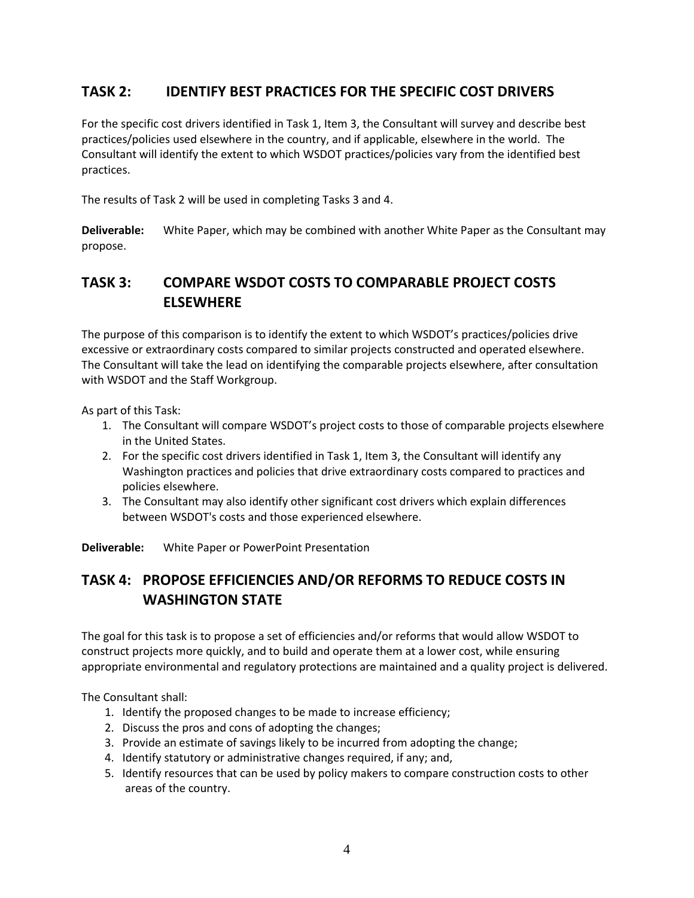# **TASK 2: IDENTIFY BEST PRACTICES FOR THE SPECIFIC COST DRIVERS**

For the specific cost drivers identified in Task 1, Item 3, the Consultant will survey and describe best practices/policies used elsewhere in the country, and if applicable, elsewhere in the world. The Consultant will identify the extent to which WSDOT practices/policies vary from the identified best practices.

The results of Task 2 will be used in completing Tasks 3 and 4.

**Deliverable:** White Paper, which may be combined with another White Paper as the Consultant may propose.

# **TASK 3: COMPARE WSDOT COSTS TO COMPARABLE PROJECT COSTS ELSEWHERE**

The purpose of this comparison is to identify the extent to which WSDOT's practices/policies drive excessive or extraordinary costs compared to similar projects constructed and operated elsewhere. The Consultant will take the lead on identifying the comparable projects elsewhere, after consultation with WSDOT and the Staff Workgroup.

As part of this Task:

- 1. The Consultant will compare WSDOT's project costs to those of comparable projects elsewhere in the United States.
- 2. For the specific cost drivers identified in Task 1, Item 3, the Consultant will identify any Washington practices and policies that drive extraordinary costs compared to practices and policies elsewhere.
- 3. The Consultant may also identify other significant cost drivers which explain differences between WSDOT's costs and those experienced elsewhere.

**Deliverable:** White Paper or PowerPoint Presentation

# **TASK 4: PROPOSE EFFICIENCIES AND/OR REFORMS TO REDUCE COSTS IN WASHINGTON STATE**

The goal for this task is to propose a set of efficiencies and/or reforms that would allow WSDOT to construct projects more quickly, and to build and operate them at a lower cost, while ensuring appropriate environmental and regulatory protections are maintained and a quality project is delivered.

The Consultant shall:

- 1. Identify the proposed changes to be made to increase efficiency;
- 2. Discuss the pros and cons of adopting the changes;
- 3. Provide an estimate of savings likely to be incurred from adopting the change;
- 4. Identify statutory or administrative changes required, if any; and,
- 5. Identify resources that can be used by policy makers to compare construction costs to other areas of the country.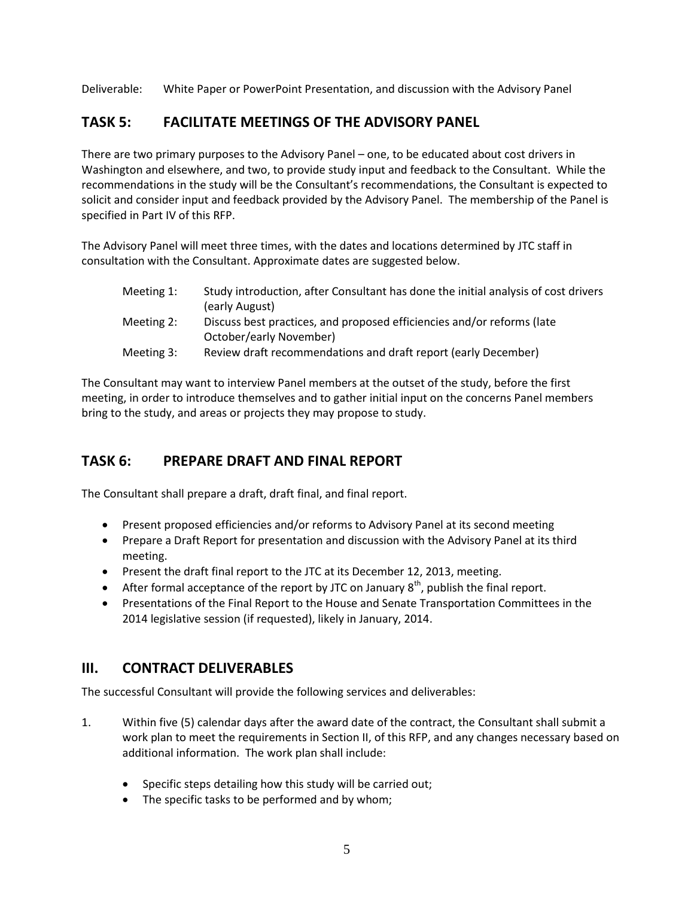Deliverable: White Paper or PowerPoint Presentation, and discussion with the Advisory Panel

## **TASK 5: FACILITATE MEETINGS OF THE ADVISORY PANEL**

There are two primary purposes to the Advisory Panel – one, to be educated about cost drivers in Washington and elsewhere, and two, to provide study input and feedback to the Consultant. While the recommendations in the study will be the Consultant's recommendations, the Consultant is expected to solicit and consider input and feedback provided by the Advisory Panel. The membership of the Panel is specified in Part IV of this RFP.

The Advisory Panel will meet three times, with the dates and locations determined by JTC staff in consultation with the Consultant. Approximate dates are suggested below.

| Meeting 1: | Study introduction, after Consultant has done the initial analysis of cost drivers |
|------------|------------------------------------------------------------------------------------|
|            | (early August)                                                                     |
| Meeting 2: | Discuss best practices, and proposed efficiencies and/or reforms (late             |
|            | October/early November)                                                            |
| Meeting 3: | Review draft recommendations and draft report (early December)                     |

The Consultant may want to interview Panel members at the outset of the study, before the first meeting, in order to introduce themselves and to gather initial input on the concerns Panel members bring to the study, and areas or projects they may propose to study.

# **TASK 6: PREPARE DRAFT AND FINAL REPORT**

The Consultant shall prepare a draft, draft final, and final report.

- Present proposed efficiencies and/or reforms to Advisory Panel at its second meeting
- Prepare a Draft Report for presentation and discussion with the Advisory Panel at its third meeting.
- Present the draft final report to the JTC at its December 12, 2013, meeting.
- After formal acceptance of the report by JTC on January  $8<sup>th</sup>$ , publish the final report.
- Presentations of the Final Report to the House and Senate Transportation Committees in the 2014 legislative session (if requested), likely in January, 2014.

## **III. CONTRACT DELIVERABLES**

The successful Consultant will provide the following services and deliverables:

- 1. Within five (5) calendar days after the award date of the contract, the Consultant shall submit a work plan to meet the requirements in Section II, of this RFP, and any changes necessary based on additional information. The work plan shall include:
	- Specific steps detailing how this study will be carried out;
	- The specific tasks to be performed and by whom;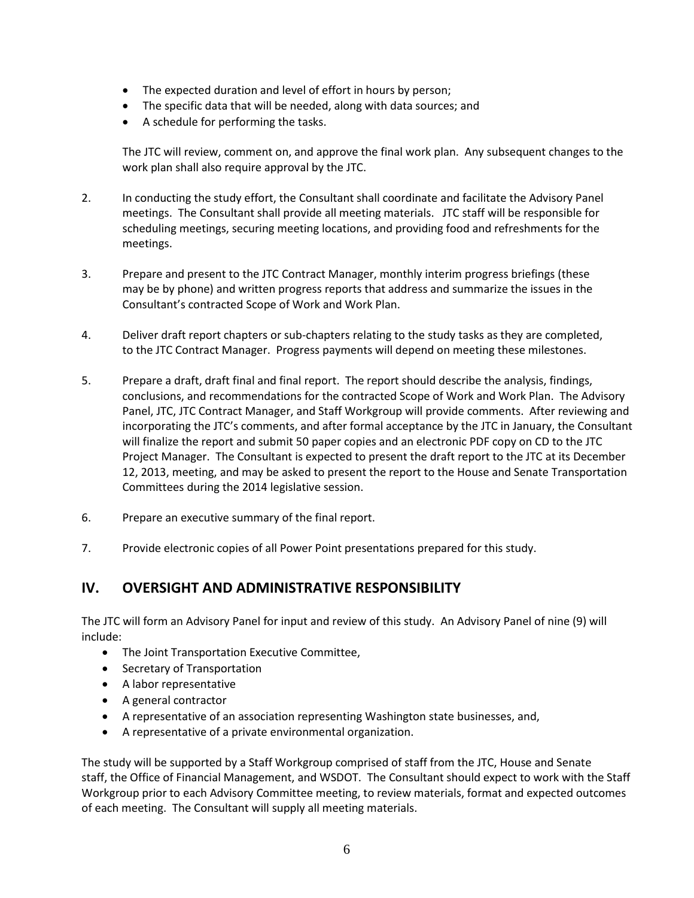- The expected duration and level of effort in hours by person;
- The specific data that will be needed, along with data sources; and
- A schedule for performing the tasks.

The JTC will review, comment on, and approve the final work plan. Any subsequent changes to the work plan shall also require approval by the JTC.

- 2. In conducting the study effort, the Consultant shall coordinate and facilitate the Advisory Panel meetings. The Consultant shall provide all meeting materials. JTC staff will be responsible for scheduling meetings, securing meeting locations, and providing food and refreshments for the meetings.
- 3. Prepare and present to the JTC Contract Manager, monthly interim progress briefings (these may be by phone) and written progress reports that address and summarize the issues in the Consultant's contracted Scope of Work and Work Plan.
- 4. Deliver draft report chapters or sub-chapters relating to the study tasks as they are completed, to the JTC Contract Manager. Progress payments will depend on meeting these milestones.
- 5. Prepare a draft, draft final and final report. The report should describe the analysis, findings, conclusions, and recommendations for the contracted Scope of Work and Work Plan. The Advisory Panel, JTC, JTC Contract Manager, and Staff Workgroup will provide comments. After reviewing and incorporating the JTC's comments, and after formal acceptance by the JTC in January, the Consultant will finalize the report and submit 50 paper copies and an electronic PDF copy on CD to the JTC Project Manager. The Consultant is expected to present the draft report to the JTC at its December 12, 2013, meeting, and may be asked to present the report to the House and Senate Transportation Committees during the 2014 legislative session.
- 6. Prepare an executive summary of the final report.
- 7. Provide electronic copies of all Power Point presentations prepared for this study.

## **IV. OVERSIGHT AND ADMINISTRATIVE RESPONSIBILITY**

The JTC will form an Advisory Panel for input and review of this study. An Advisory Panel of nine (9) will include:

- The Joint Transportation Executive Committee,
- Secretary of Transportation
- A labor representative
- A general contractor
- A representative of an association representing Washington state businesses, and,
- A representative of a private environmental organization.

The study will be supported by a Staff Workgroup comprised of staff from the JTC, House and Senate staff, the Office of Financial Management, and WSDOT. The Consultant should expect to work with the Staff Workgroup prior to each Advisory Committee meeting, to review materials, format and expected outcomes of each meeting. The Consultant will supply all meeting materials.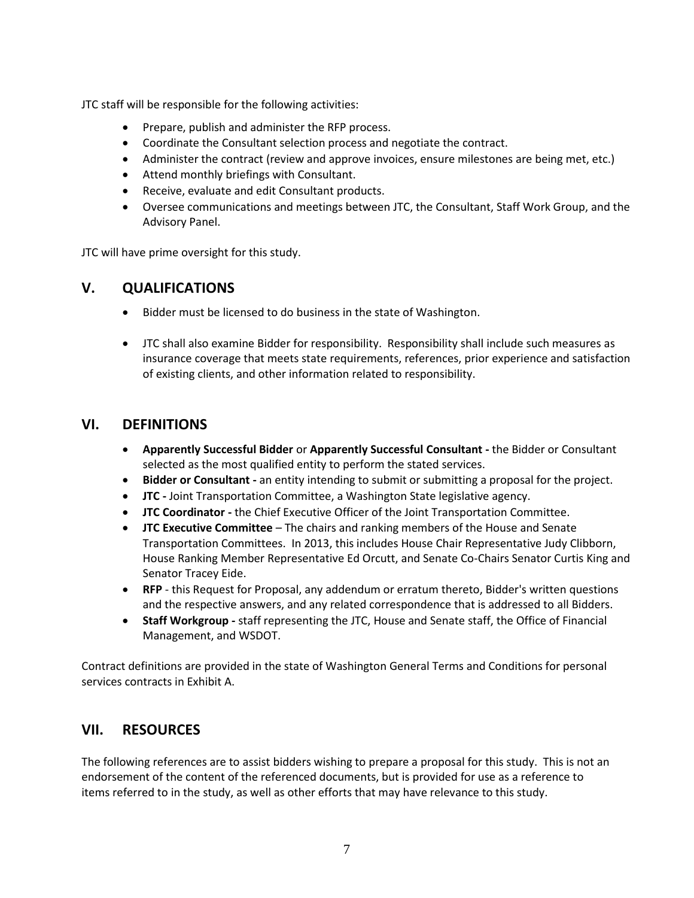JTC staff will be responsible for the following activities:

- Prepare, publish and administer the RFP process.
- Coordinate the Consultant selection process and negotiate the contract.
- Administer the contract (review and approve invoices, ensure milestones are being met, etc.)
- Attend monthly briefings with Consultant.
- Receive, evaluate and edit Consultant products.
- Oversee communications and meetings between JTC, the Consultant, Staff Work Group, and the Advisory Panel.

JTC will have prime oversight for this study.

#### **V. QUALIFICATIONS**

- Bidder must be licensed to do business in the state of Washington.
- JTC shall also examine Bidder for responsibility. Responsibility shall include such measures as insurance coverage that meets state requirements, references, prior experience and satisfaction of existing clients, and other information related to responsibility.

#### **VI. DEFINITIONS**

- **Apparently Successful Bidder** or **Apparently Successful Consultant -** the Bidder or Consultant selected as the most qualified entity to perform the stated services.
- **Bidder or Consultant -** an entity intending to submit or submitting a proposal for the project.
- **JTC -** Joint Transportation Committee, a Washington State legislative agency.
- **JTC Coordinator -** the Chief Executive Officer of the Joint Transportation Committee.
- **JTC Executive Committee** The chairs and ranking members of the House and Senate Transportation Committees. In 2013, this includes House Chair Representative Judy Clibborn, House Ranking Member Representative Ed Orcutt, and Senate Co-Chairs Senator Curtis King and Senator Tracey Eide.
- **RFP** this Request for Proposal, any addendum or erratum thereto, Bidder's written questions and the respective answers, and any related correspondence that is addressed to all Bidders.
- **Staff Workgroup -** staff representing the JTC, House and Senate staff, the Office of Financial Management, and WSDOT.

Contract definitions are provided in the state of Washington General Terms and Conditions for personal services contracts in Exhibit A.

#### **VII. RESOURCES**

The following references are to assist bidders wishing to prepare a proposal for this study. This is not an endorsement of the content of the referenced documents, but is provided for use as a reference to items referred to in the study, as well as other efforts that may have relevance to this study.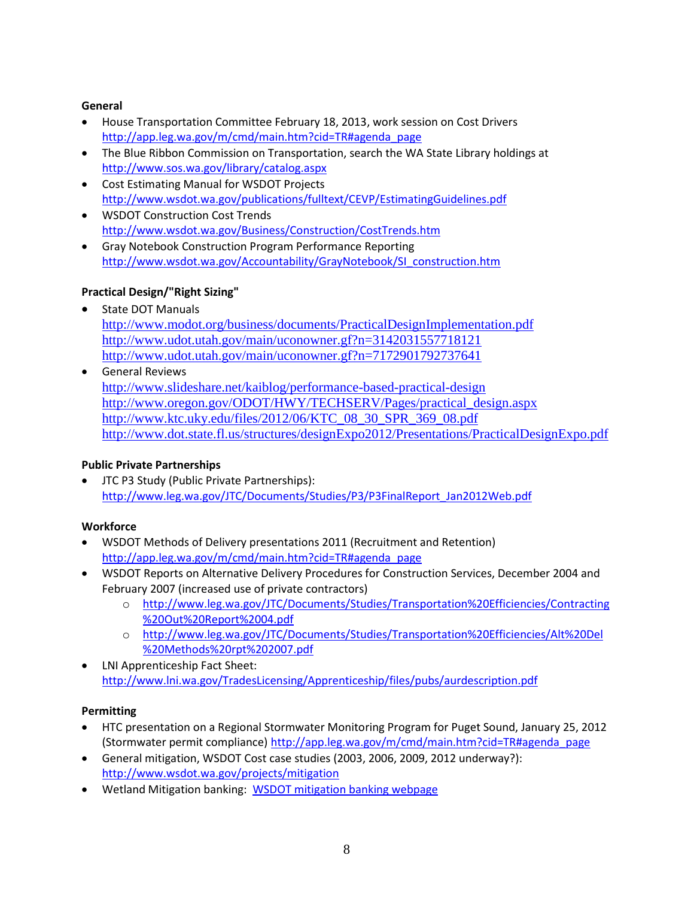#### **General**

- House Transportation Committee February 18, 2013, work session on Cost Drivers [http://app.leg.wa.gov/m/cmd/main.htm?cid=TR#agenda\\_page](http://app.leg.wa.gov/m/cmd/main.htm?cid=TR#agenda_page)
- The Blue Ribbon Commission on Transportation, search the WA State Library holdings at <http://www.sos.wa.gov/library/catalog.aspx>
- Cost Estimating Manual for WSDOT Projects <http://www.wsdot.wa.gov/publications/fulltext/CEVP/EstimatingGuidelines.pdf>
- WSDOT Construction Cost Trends <http://www.wsdot.wa.gov/Business/Construction/CostTrends.htm>
- Gray Notebook Construction Program Performance Reporting [http://www.wsdot.wa.gov/Accountability/GrayNotebook/SI\\_construction.htm](http://www.wsdot.wa.gov/Accountability/GrayNotebook/SI_construction.htm)

#### **Practical Design/"Right Sizing"**

- State DOT Manuals <http://www.modot.org/business/documents/PracticalDesignImplementation.pdf> <http://www.udot.utah.gov/main/uconowner.gf?n=3142031557718121> <http://www.udot.utah.gov/main/uconowner.gf?n=7172901792737641>
- General Reviews <http://www.slideshare.net/kaiblog/performance-based-practical-design> [http://www.oregon.gov/ODOT/HWY/TECHSERV/Pages/practical\\_design.aspx](http://www.oregon.gov/ODOT/HWY/TECHSERV/Pages/practical_design.aspx) [http://www.ktc.uky.edu/files/2012/06/KTC\\_08\\_30\\_SPR\\_369\\_08.pdf](http://www.ktc.uky.edu/files/2012/06/KTC_08_30_SPR_369_08.pdf) <http://www.dot.state.fl.us/structures/designExpo2012/Presentations/PracticalDesignExpo.pdf>

#### **Public Private Partnerships**

 JTC P3 Study (Public Private Partnerships): [http://www.leg.wa.gov/JTC/Documents/Studies/P3/P3FinalReport\\_Jan2012Web.pdf](http://www.leg.wa.gov/JTC/Documents/Studies/P3/P3FinalReport_Jan2012Web.pdf)

#### **Workforce**

- WSDOT Methods of Delivery presentations 2011 (Recruitment and Retention) [http://app.leg.wa.gov/m/cmd/main.htm?cid=TR#agenda\\_page](http://app.leg.wa.gov/m/cmd/main.htm?cid=TR#agenda_page)
- WSDOT Reports on Alternative Delivery Procedures for Construction Services, December 2004 and February 2007 (increased use of private contractors)
	- o [http://www.leg.wa.gov/JTC/Documents/Studies/Transportation%20Efficiencies/Contracting](http://www.leg.wa.gov/JTC/Documents/Studies/Transportation%20Efficiencies/Contracting%20Out%20Report%2004.pdf) [%20Out%20Report%2004.pdf](http://www.leg.wa.gov/JTC/Documents/Studies/Transportation%20Efficiencies/Contracting%20Out%20Report%2004.pdf)
	- o [http://www.leg.wa.gov/JTC/Documents/Studies/Transportation%20Efficiencies/Alt%20Del](http://www.leg.wa.gov/JTC/Documents/Studies/Transportation%20Efficiencies/Alt%20Del%20Methods%20rpt%202007.pdf) [%20Methods%20rpt%202007.pdf](http://www.leg.wa.gov/JTC/Documents/Studies/Transportation%20Efficiencies/Alt%20Del%20Methods%20rpt%202007.pdf)
- LNI Apprenticeship Fact Sheet: <http://www.lni.wa.gov/TradesLicensing/Apprenticeship/files/pubs/aurdescription.pdf>

#### **Permitting**

- HTC presentation on a Regional Stormwater Monitoring Program for Puget Sound, January 25, 2012 (Stormwater permit compliance) [http://app.leg.wa.gov/m/cmd/main.htm?cid=TR#agenda\\_page](http://app.leg.wa.gov/m/cmd/main.htm?cid=TR#agenda_page)
- General mitigation, WSDOT Cost case studies (2003, 2006, 2009, 2012 underway?): <http://www.wsdot.wa.gov/projects/mitigation>
- Wetland Mitigation banking: [WSDOT mitigation banking webpage](http://www.wsdot.wa.gov/Environment/Wetlands/Mitigation/alternativemitigation.htm)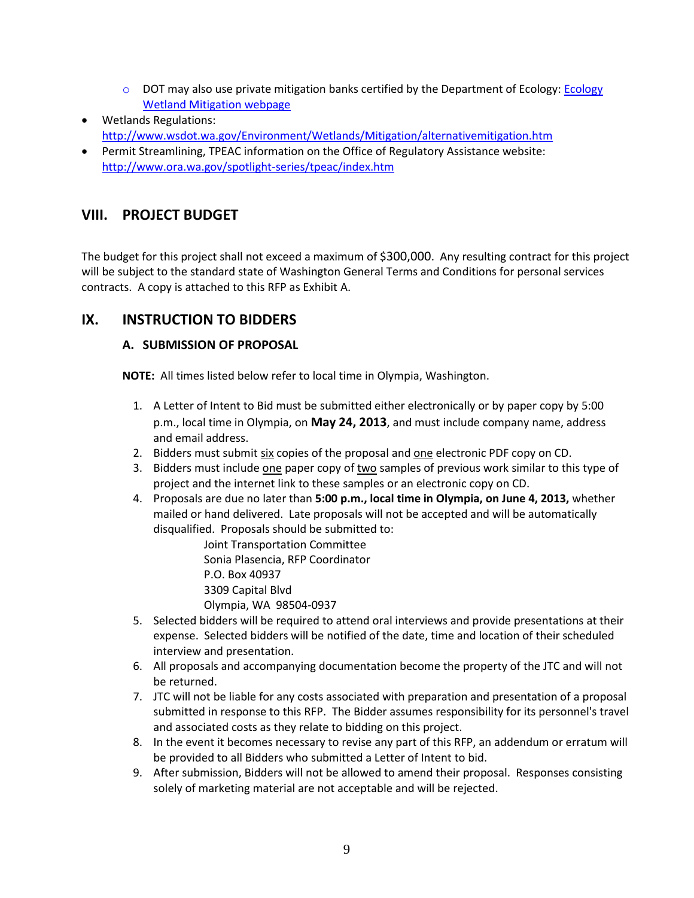- $\circ$  DOT may also use private mitigation banks certified by the Department of Ecology: Ecology [Wetland Mitigation webpage](http://www.ecy.wa.gov/programs/sea/wetlands/mitigation/banking/index.html)
- Wetlands Regulations: <http://www.wsdot.wa.gov/Environment/Wetlands/Mitigation/alternativemitigation.htm>
- Permit Streamlining, TPEAC information on the Office of Regulatory Assistance website: <http://www.ora.wa.gov/spotlight-series/tpeac/index.htm>

# **VIII. PROJECT BUDGET**

The budget for this project shall not exceed a maximum of \$300,000. Any resulting contract for this project will be subject to the standard state of Washington General Terms and Conditions for personal services contracts. A copy is attached to this RFP as Exhibit A.

# **IX. INSTRUCTION TO BIDDERS**

#### **A. SUBMISSION OF PROPOSAL**

**NOTE:** All times listed below refer to local time in Olympia, Washington.

- 1. A Letter of Intent to Bid must be submitted either electronically or by paper copy by 5:00 p.m., local time in Olympia, on **May 24, 2013**, and must include company name, address and email address.
- 2. Bidders must submit six copies of the proposal and one electronic PDF copy on CD.
- 3. Bidders must include one paper copy of two samples of previous work similar to this type of project and the internet link to these samples or an electronic copy on CD.
- 4. Proposals are due no later than **5:00 p.m., local time in Olympia, on June 4, 2013,** whether mailed or hand delivered. Late proposals will not be accepted and will be automatically disqualified. Proposals should be submitted to:

Joint Transportation Committee Sonia Plasencia, RFP Coordinator P.O. Box 40937 3309 Capital Blvd Olympia, WA 98504-0937

- 5. Selected bidders will be required to attend oral interviews and provide presentations at their expense. Selected bidders will be notified of the date, time and location of their scheduled interview and presentation.
- 6. All proposals and accompanying documentation become the property of the JTC and will not be returned.
- 7. JTC will not be liable for any costs associated with preparation and presentation of a proposal submitted in response to this RFP. The Bidder assumes responsibility for its personnel's travel and associated costs as they relate to bidding on this project.
- 8. In the event it becomes necessary to revise any part of this RFP, an addendum or erratum will be provided to all Bidders who submitted a Letter of Intent to bid.
- 9. After submission, Bidders will not be allowed to amend their proposal. Responses consisting solely of marketing material are not acceptable and will be rejected.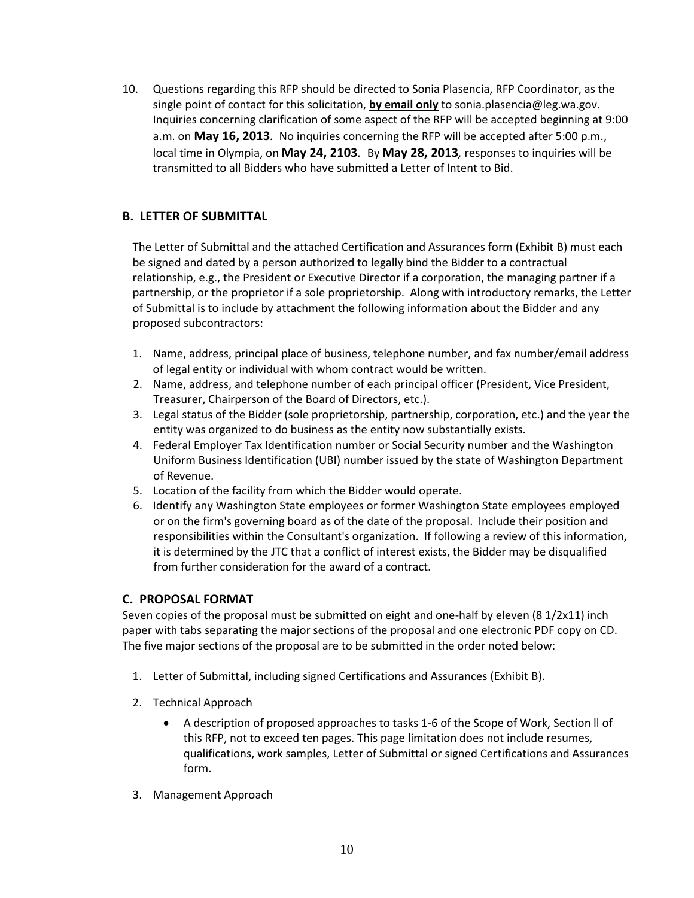10. Questions regarding this RFP should be directed to Sonia Plasencia, RFP Coordinator, as the single point of contact for this solicitation, **by email only** to sonia.plasencia@leg.wa.gov. Inquiries concerning clarification of some aspect of the RFP will be accepted beginning at 9:00 a.m. on **May 16, 2013***.* No inquiries concerning the RFP will be accepted after 5:00 p.m., local time in Olympia, on **May 24, 2103***.* By **May 28, 2013***,* responses to inquiries will be transmitted to all Bidders who have submitted a Letter of Intent to Bid.

#### **B. LETTER OF SUBMITTAL**

The Letter of Submittal and the attached Certification and Assurances form (Exhibit B) must each be signed and dated by a person authorized to legally bind the Bidder to a contractual relationship, e.g., the President or Executive Director if a corporation, the managing partner if a partnership, or the proprietor if a sole proprietorship. Along with introductory remarks, the Letter of Submittal is to include by attachment the following information about the Bidder and any proposed subcontractors:

- 1. Name, address, principal place of business, telephone number, and fax number/email address of legal entity or individual with whom contract would be written.
- 2. Name, address, and telephone number of each principal officer (President, Vice President, Treasurer, Chairperson of the Board of Directors, etc.).
- 3. Legal status of the Bidder (sole proprietorship, partnership, corporation, etc.) and the year the entity was organized to do business as the entity now substantially exists.
- 4. Federal Employer Tax Identification number or Social Security number and the Washington Uniform Business Identification (UBI) number issued by the state of Washington Department of Revenue.
- 5. Location of the facility from which the Bidder would operate.
- 6. Identify any Washington State employees or former Washington State employees employed or on the firm's governing board as of the date of the proposal. Include their position and responsibilities within the Consultant's organization. If following a review of this information, it is determined by the JTC that a conflict of interest exists, the Bidder may be disqualified from further consideration for the award of a contract.

#### **C. PROPOSAL FORMAT**

Seven copies of the proposal must be submitted on eight and one-half by eleven (8 1/2x11) inch paper with tabs separating the major sections of the proposal and one electronic PDF copy on CD. The five major sections of the proposal are to be submitted in the order noted below:

- 1. Letter of Submittal, including signed Certifications and Assurances (Exhibit B).
- 2. Technical Approach
	- A description of proposed approaches to tasks 1-6 of the Scope of Work, Section ll of this RFP, not to exceed ten pages. This page limitation does not include resumes, qualifications, work samples, Letter of Submittal or signed Certifications and Assurances form.
- 3. Management Approach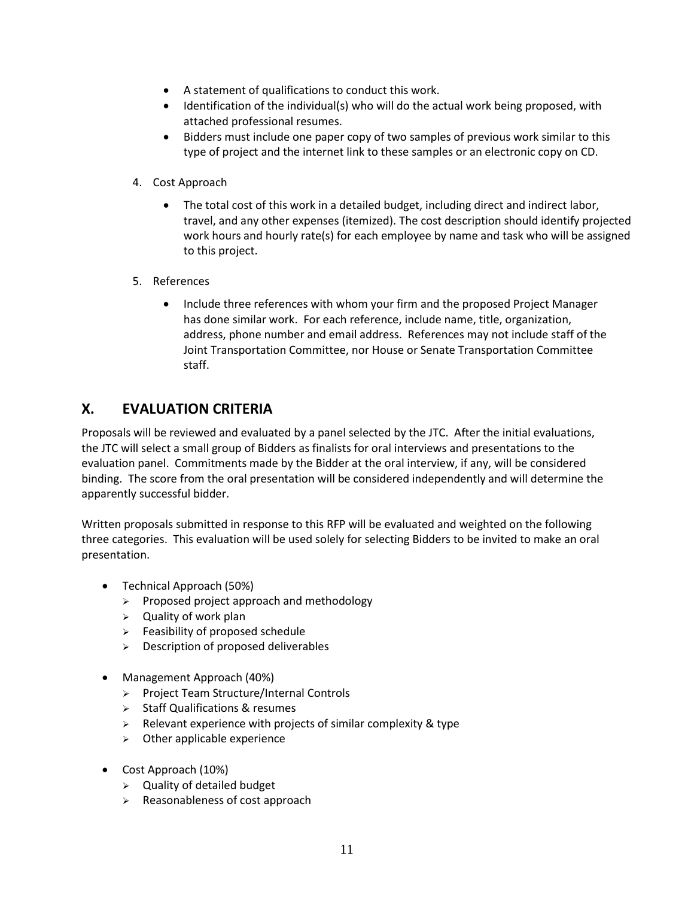- A statement of qualifications to conduct this work.
- Identification of the individual(s) who will do the actual work being proposed, with attached professional resumes.
- Bidders must include one paper copy of two samples of previous work similar to this type of project and the internet link to these samples or an electronic copy on CD.
- 4. Cost Approach
	- The total cost of this work in a detailed budget, including direct and indirect labor, travel, and any other expenses (itemized). The cost description should identify projected work hours and hourly rate(s) for each employee by name and task who will be assigned to this project.
- 5. References
	- Include three references with whom your firm and the proposed Project Manager has done similar work. For each reference, include name, title, organization, address, phone number and email address. References may not include staff of the Joint Transportation Committee, nor House or Senate Transportation Committee staff.

# **X. EVALUATION CRITERIA**

Proposals will be reviewed and evaluated by a panel selected by the JTC. After the initial evaluations, the JTC will select a small group of Bidders as finalists for oral interviews and presentations to the evaluation panel. Commitments made by the Bidder at the oral interview, if any, will be considered binding. The score from the oral presentation will be considered independently and will determine the apparently successful bidder.

Written proposals submitted in response to this RFP will be evaluated and weighted on the following three categories. This evaluation will be used solely for selecting Bidders to be invited to make an oral presentation.

- Technical Approach (50%)
	- $\triangleright$  Proposed project approach and methodology
	- $\triangleright$  Quality of work plan
	- $\triangleright$  Feasibility of proposed schedule
	- $\triangleright$  Description of proposed deliverables
- Management Approach (40%)
	- > Project Team Structure/Internal Controls
	- $\triangleright$  Staff Qualifications & resumes
	- $\triangleright$  Relevant experience with projects of similar complexity & type
	- $\triangleright$  Other applicable experience
- Cost Approach (10%)
	- $\triangleright$  Quality of detailed budget
	- $\triangleright$  Reasonableness of cost approach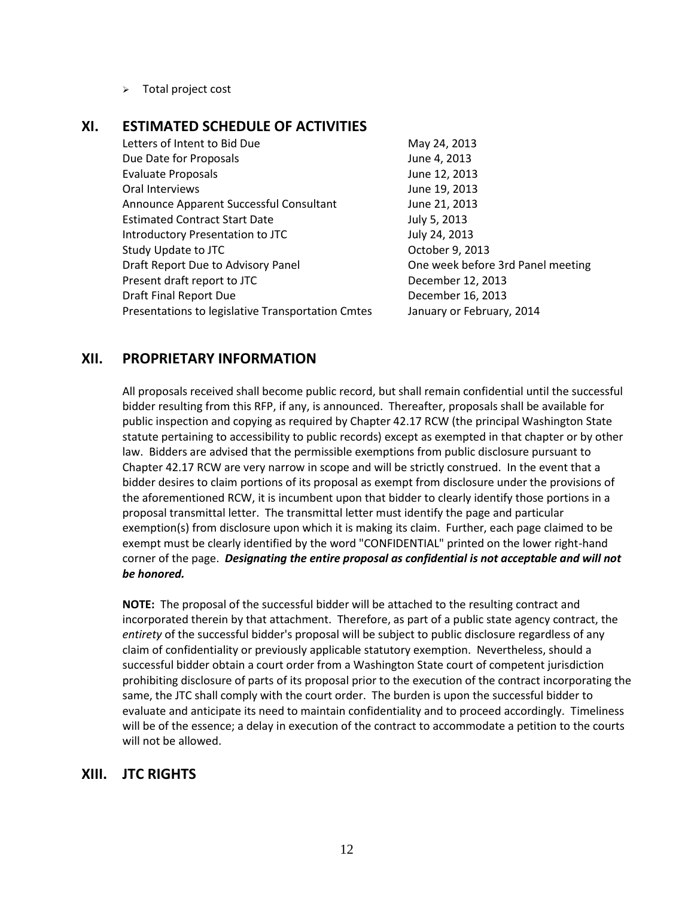$\triangleright$  Total project cost

## **XI. ESTIMATED SCHEDULE OF ACTIVITIES**

Letters of Intent to Bid Due May 24, 2013 Due Date for Proposals **Due 2013** Evaluate Proposals **IV** and Table 12, 2013 Oral Interviews **June 19, 2013** Announce Apparent Successful Consultant June 21, 2013 Estimated Contract Start Date July 5, 2013 Introductory Presentation to JTC July 24, 2013 Study Update to JTC COME COMPUTER CORRECTED STUDIES October 9, 2013 Draft Report Due to Advisory Panel **Communist Coney Coney Week before 3rd Panel meeting** Present draft report to JTC December 12, 2013 Draft Final Report Due December 16, 2013 Presentations to legislative Transportation Cmtes January or February, 2014

#### **XII. PROPRIETARY INFORMATION**

All proposals received shall become public record, but shall remain confidential until the successful bidder resulting from this RFP, if any, is announced. Thereafter, proposals shall be available for public inspection and copying as required by Chapter 42.17 RCW (the principal Washington State statute pertaining to accessibility to public records) except as exempted in that chapter or by other law. Bidders are advised that the permissible exemptions from public disclosure pursuant to Chapter 42.17 RCW are very narrow in scope and will be strictly construed. In the event that a bidder desires to claim portions of its proposal as exempt from disclosure under the provisions of the aforementioned RCW, it is incumbent upon that bidder to clearly identify those portions in a proposal transmittal letter. The transmittal letter must identify the page and particular exemption(s) from disclosure upon which it is making its claim. Further, each page claimed to be exempt must be clearly identified by the word "CONFIDENTIAL" printed on the lower right-hand corner of the page. *Designating the entire proposal as confidential is not acceptable and will not be honored.*

**NOTE:** The proposal of the successful bidder will be attached to the resulting contract and incorporated therein by that attachment. Therefore, as part of a public state agency contract, the *entirety* of the successful bidder's proposal will be subject to public disclosure regardless of any claim of confidentiality or previously applicable statutory exemption. Nevertheless, should a successful bidder obtain a court order from a Washington State court of competent jurisdiction prohibiting disclosure of parts of its proposal prior to the execution of the contract incorporating the same, the JTC shall comply with the court order. The burden is upon the successful bidder to evaluate and anticipate its need to maintain confidentiality and to proceed accordingly. Timeliness will be of the essence; a delay in execution of the contract to accommodate a petition to the courts will not be allowed.

#### **XIII. JTC RIGHTS**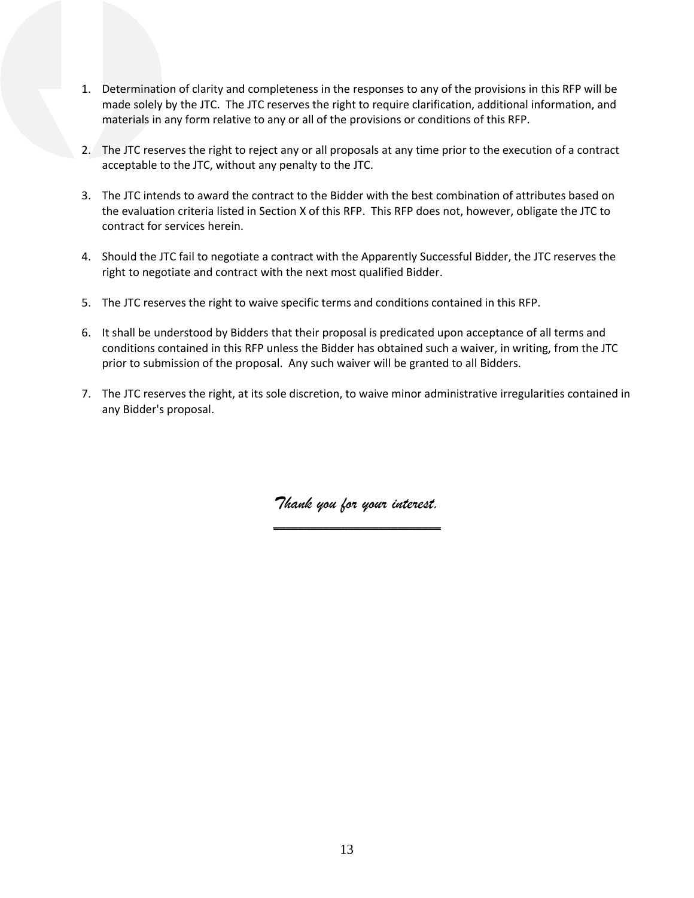- 1. Determination of clarity and completeness in the responses to any of the provisions in this RFP will be made solely by the JTC. The JTC reserves the right to require clarification, additional information, and materials in any form relative to any or all of the provisions or conditions of this RFP.
- 2. The JTC reserves the right to reject any or all proposals at any time prior to the execution of a contract acceptable to the JTC, without any penalty to the JTC.
- 3. The JTC intends to award the contract to the Bidder with the best combination of attributes based on the evaluation criteria listed in Section X of this RFP. This RFP does not, however, obligate the JTC to contract for services herein.
- 4. Should the JTC fail to negotiate a contract with the Apparently Successful Bidder, the JTC reserves the right to negotiate and contract with the next most qualified Bidder.
- 5. The JTC reserves the right to waive specific terms and conditions contained in this RFP.
- 6. It shall be understood by Bidders that their proposal is predicated upon acceptance of all terms and conditions contained in this RFP unless the Bidder has obtained such a waiver, in writing, from the JTC prior to submission of the proposal. Any such waiver will be granted to all Bidders.
- 7. The JTC reserves the right, at its sole discretion, to waive minor administrative irregularities contained in any Bidder's proposal.

*Thank you for your interest.* **\_\_\_\_\_\_\_\_\_\_\_\_\_\_\_\_\_\_\_\_\_\_\_\_\_\_\_**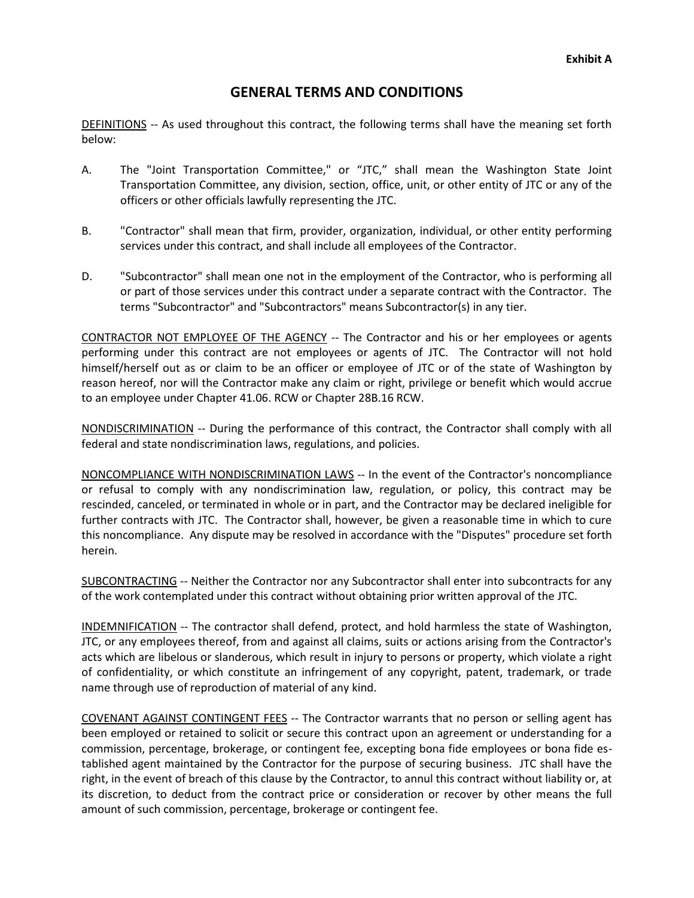## **GENERAL TERMS AND CONDITIONS**

DEFINITIONS -- As used throughout this contract, the following terms shall have the meaning set forth below:

- A. The "Joint Transportation Committee," or "JTC," shall mean the Washington State Joint Transportation Committee, any division, section, office, unit, or other entity of JTC or any of the officers or other officials lawfully representing the JTC.
- B. "Contractor" shall mean that firm, provider, organization, individual, or other entity performing services under this contract, and shall include all employees of the Contractor.
- D. "Subcontractor" shall mean one not in the employment of the Contractor, who is performing all or part of those services under this contract under a separate contract with the Contractor. The terms "Subcontractor" and "Subcontractors" means Subcontractor(s) in any tier.

CONTRACTOR NOT EMPLOYEE OF THE AGENCY -- The Contractor and his or her employees or agents performing under this contract are not employees or agents of JTC. The Contractor will not hold himself/herself out as or claim to be an officer or employee of JTC or of the state of Washington by reason hereof, nor will the Contractor make any claim or right, privilege or benefit which would accrue to an employee under Chapter 41.06. RCW or Chapter 28B.16 RCW.

NONDISCRIMINATION -- During the performance of this contract, the Contractor shall comply with all federal and state nondiscrimination laws, regulations, and policies.

NONCOMPLIANCE WITH NONDISCRIMINATION LAWS -- In the event of the Contractor's noncompliance or refusal to comply with any nondiscrimination law, regulation, or policy, this contract may be rescinded, canceled, or terminated in whole or in part, and the Contractor may be declared ineligible for further contracts with JTC. The Contractor shall, however, be given a reasonable time in which to cure this noncompliance. Any dispute may be resolved in accordance with the "Disputes" procedure set forth herein.

SUBCONTRACTING -- Neither the Contractor nor any Subcontractor shall enter into subcontracts for any of the work contemplated under this contract without obtaining prior written approval of the JTC.

INDEMNIFICATION -- The contractor shall defend, protect, and hold harmless the state of Washington, JTC, or any employees thereof, from and against all claims, suits or actions arising from the Contractor's acts which are libelous or slanderous, which result in injury to persons or property, which violate a right of confidentiality, or which constitute an infringement of any copyright, patent, trademark, or trade name through use of reproduction of material of any kind.

COVENANT AGAINST CONTINGENT FEES -- The Contractor warrants that no person or selling agent has been employed or retained to solicit or secure this contract upon an agreement or understanding for a commission, percentage, brokerage, or contingent fee, excepting bona fide employees or bona fide established agent maintained by the Contractor for the purpose of securing business. JTC shall have the right, in the event of breach of this clause by the Contractor, to annul this contract without liability or, at its discretion, to deduct from the contract price or consideration or recover by other means the full amount of such commission, percentage, brokerage or contingent fee.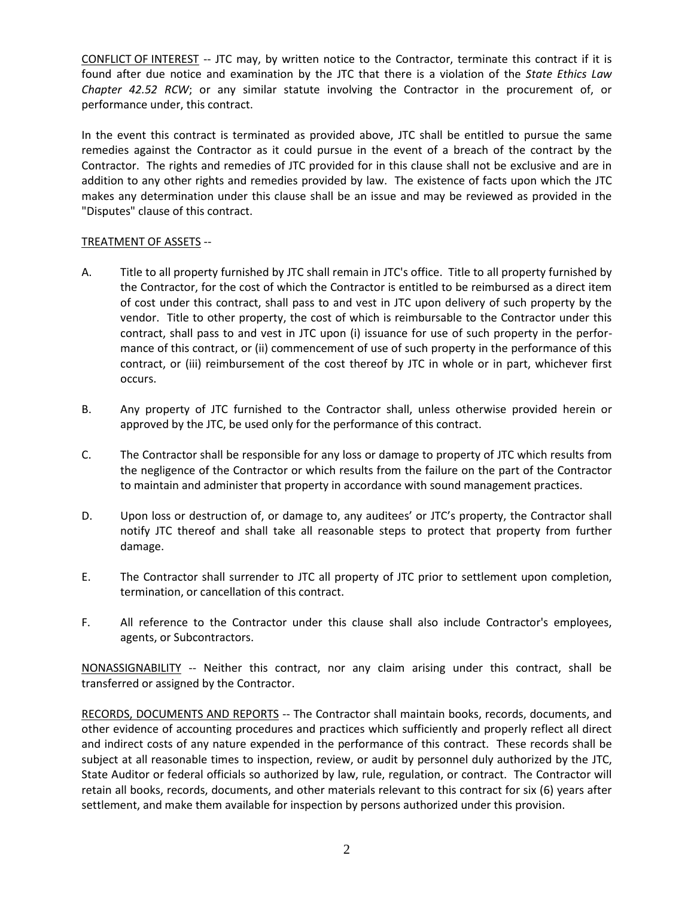CONFLICT OF INTEREST -- JTC may, by written notice to the Contractor, terminate this contract if it is found after due notice and examination by the JTC that there is a violation of the *State Ethics Law Chapter 42.52 RCW*; or any similar statute involving the Contractor in the procurement of, or performance under, this contract.

In the event this contract is terminated as provided above, JTC shall be entitled to pursue the same remedies against the Contractor as it could pursue in the event of a breach of the contract by the Contractor. The rights and remedies of JTC provided for in this clause shall not be exclusive and are in addition to any other rights and remedies provided by law. The existence of facts upon which the JTC makes any determination under this clause shall be an issue and may be reviewed as provided in the "Disputes" clause of this contract.

#### TREATMENT OF ASSETS --

- A. Title to all property furnished by JTC shall remain in JTC's office. Title to all property furnished by the Contractor, for the cost of which the Contractor is entitled to be reimbursed as a direct item of cost under this contract, shall pass to and vest in JTC upon delivery of such property by the vendor. Title to other property, the cost of which is reimbursable to the Contractor under this contract, shall pass to and vest in JTC upon (i) issuance for use of such property in the performance of this contract, or (ii) commencement of use of such property in the performance of this contract, or (iii) reimbursement of the cost thereof by JTC in whole or in part, whichever first occurs.
- B. Any property of JTC furnished to the Contractor shall, unless otherwise provided herein or approved by the JTC, be used only for the performance of this contract.
- C. The Contractor shall be responsible for any loss or damage to property of JTC which results from the negligence of the Contractor or which results from the failure on the part of the Contractor to maintain and administer that property in accordance with sound management practices.
- D. Upon loss or destruction of, or damage to, any auditees' or JTC's property, the Contractor shall notify JTC thereof and shall take all reasonable steps to protect that property from further damage.
- E. The Contractor shall surrender to JTC all property of JTC prior to settlement upon completion, termination, or cancellation of this contract.
- F. All reference to the Contractor under this clause shall also include Contractor's employees, agents, or Subcontractors.

NONASSIGNABILITY -- Neither this contract, nor any claim arising under this contract, shall be transferred or assigned by the Contractor.

RECORDS, DOCUMENTS AND REPORTS -- The Contractor shall maintain books, records, documents, and other evidence of accounting procedures and practices which sufficiently and properly reflect all direct and indirect costs of any nature expended in the performance of this contract. These records shall be subject at all reasonable times to inspection, review, or audit by personnel duly authorized by the JTC, State Auditor or federal officials so authorized by law, rule, regulation, or contract. The Contractor will retain all books, records, documents, and other materials relevant to this contract for six (6) years after settlement, and make them available for inspection by persons authorized under this provision.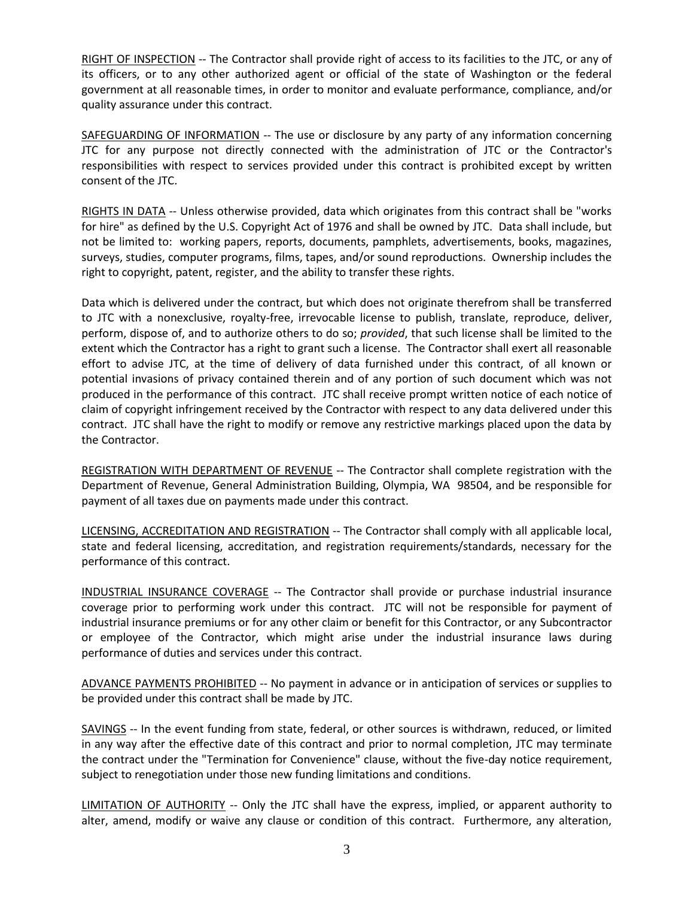RIGHT OF INSPECTION -- The Contractor shall provide right of access to its facilities to the JTC, or any of its officers, or to any other authorized agent or official of the state of Washington or the federal government at all reasonable times, in order to monitor and evaluate performance, compliance, and/or quality assurance under this contract.

SAFEGUARDING OF INFORMATION -- The use or disclosure by any party of any information concerning JTC for any purpose not directly connected with the administration of JTC or the Contractor's responsibilities with respect to services provided under this contract is prohibited except by written consent of the JTC.

RIGHTS IN DATA -- Unless otherwise provided, data which originates from this contract shall be "works for hire" as defined by the U.S. Copyright Act of 1976 and shall be owned by JTC. Data shall include, but not be limited to: working papers, reports, documents, pamphlets, advertisements, books, magazines, surveys, studies, computer programs, films, tapes, and/or sound reproductions. Ownership includes the right to copyright, patent, register, and the ability to transfer these rights.

Data which is delivered under the contract, but which does not originate therefrom shall be transferred to JTC with a nonexclusive, royalty-free, irrevocable license to publish, translate, reproduce, deliver, perform, dispose of, and to authorize others to do so; *provided*, that such license shall be limited to the extent which the Contractor has a right to grant such a license. The Contractor shall exert all reasonable effort to advise JTC, at the time of delivery of data furnished under this contract, of all known or potential invasions of privacy contained therein and of any portion of such document which was not produced in the performance of this contract. JTC shall receive prompt written notice of each notice of claim of copyright infringement received by the Contractor with respect to any data delivered under this contract. JTC shall have the right to modify or remove any restrictive markings placed upon the data by the Contractor.

REGISTRATION WITH DEPARTMENT OF REVENUE -- The Contractor shall complete registration with the Department of Revenue, General Administration Building, Olympia, WA 98504, and be responsible for payment of all taxes due on payments made under this contract.

LICENSING, ACCREDITATION AND REGISTRATION -- The Contractor shall comply with all applicable local, state and federal licensing, accreditation, and registration requirements/standards, necessary for the performance of this contract.

INDUSTRIAL INSURANCE COVERAGE -- The Contractor shall provide or purchase industrial insurance coverage prior to performing work under this contract. JTC will not be responsible for payment of industrial insurance premiums or for any other claim or benefit for this Contractor, or any Subcontractor or employee of the Contractor, which might arise under the industrial insurance laws during performance of duties and services under this contract.

ADVANCE PAYMENTS PROHIBITED -- No payment in advance or in anticipation of services or supplies to be provided under this contract shall be made by JTC.

SAVINGS -- In the event funding from state, federal, or other sources is withdrawn, reduced, or limited in any way after the effective date of this contract and prior to normal completion, JTC may terminate the contract under the "Termination for Convenience" clause, without the five-day notice requirement, subject to renegotiation under those new funding limitations and conditions.

LIMITATION OF AUTHORITY -- Only the JTC shall have the express, implied, or apparent authority to alter, amend, modify or waive any clause or condition of this contract. Furthermore, any alteration,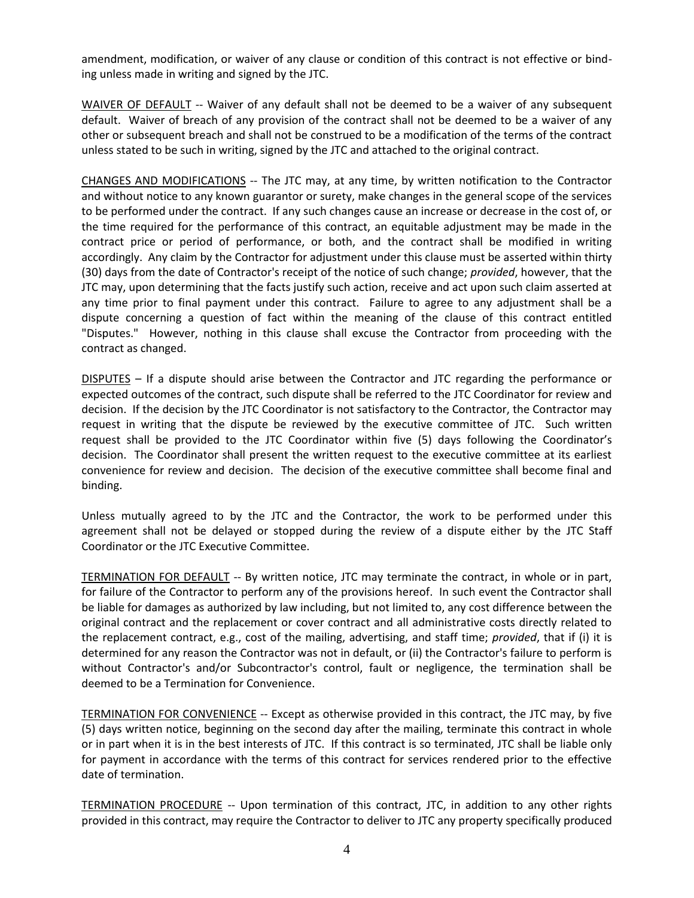amendment, modification, or waiver of any clause or condition of this contract is not effective or binding unless made in writing and signed by the JTC.

WAIVER OF DEFAULT -- Waiver of any default shall not be deemed to be a waiver of any subsequent default. Waiver of breach of any provision of the contract shall not be deemed to be a waiver of any other or subsequent breach and shall not be construed to be a modification of the terms of the contract unless stated to be such in writing, signed by the JTC and attached to the original contract.

CHANGES AND MODIFICATIONS -- The JTC may, at any time, by written notification to the Contractor and without notice to any known guarantor or surety, make changes in the general scope of the services to be performed under the contract. If any such changes cause an increase or decrease in the cost of, or the time required for the performance of this contract, an equitable adjustment may be made in the contract price or period of performance, or both, and the contract shall be modified in writing accordingly. Any claim by the Contractor for adjustment under this clause must be asserted within thirty (30) days from the date of Contractor's receipt of the notice of such change; *provided*, however, that the JTC may, upon determining that the facts justify such action, receive and act upon such claim asserted at any time prior to final payment under this contract. Failure to agree to any adjustment shall be a dispute concerning a question of fact within the meaning of the clause of this contract entitled "Disputes." However, nothing in this clause shall excuse the Contractor from proceeding with the contract as changed.

DISPUTES – If a dispute should arise between the Contractor and JTC regarding the performance or expected outcomes of the contract, such dispute shall be referred to the JTC Coordinator for review and decision. If the decision by the JTC Coordinator is not satisfactory to the Contractor, the Contractor may request in writing that the dispute be reviewed by the executive committee of JTC. Such written request shall be provided to the JTC Coordinator within five (5) days following the Coordinator's decision. The Coordinator shall present the written request to the executive committee at its earliest convenience for review and decision. The decision of the executive committee shall become final and binding.

Unless mutually agreed to by the JTC and the Contractor, the work to be performed under this agreement shall not be delayed or stopped during the review of a dispute either by the JTC Staff Coordinator or the JTC Executive Committee.

TERMINATION FOR DEFAULT -- By written notice, JTC may terminate the contract, in whole or in part, for failure of the Contractor to perform any of the provisions hereof. In such event the Contractor shall be liable for damages as authorized by law including, but not limited to, any cost difference between the original contract and the replacement or cover contract and all administrative costs directly related to the replacement contract, e.g., cost of the mailing, advertising, and staff time; *provided*, that if (i) it is determined for any reason the Contractor was not in default, or (ii) the Contractor's failure to perform is without Contractor's and/or Subcontractor's control, fault or negligence, the termination shall be deemed to be a Termination for Convenience.

TERMINATION FOR CONVENIENCE -- Except as otherwise provided in this contract, the JTC may, by five (5) days written notice, beginning on the second day after the mailing, terminate this contract in whole or in part when it is in the best interests of JTC. If this contract is so terminated, JTC shall be liable only for payment in accordance with the terms of this contract for services rendered prior to the effective date of termination.

TERMINATION PROCEDURE -- Upon termination of this contract, JTC, in addition to any other rights provided in this contract, may require the Contractor to deliver to JTC any property specifically produced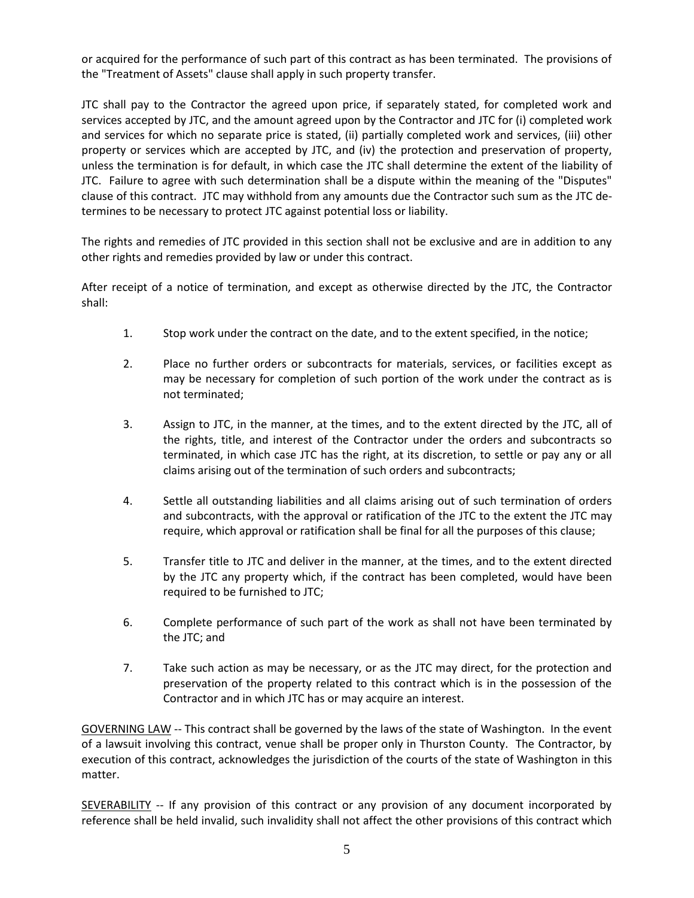or acquired for the performance of such part of this contract as has been terminated. The provisions of the "Treatment of Assets" clause shall apply in such property transfer.

JTC shall pay to the Contractor the agreed upon price, if separately stated, for completed work and services accepted by JTC, and the amount agreed upon by the Contractor and JTC for (i) completed work and services for which no separate price is stated, (ii) partially completed work and services, (iii) other property or services which are accepted by JTC, and (iv) the protection and preservation of property, unless the termination is for default, in which case the JTC shall determine the extent of the liability of JTC. Failure to agree with such determination shall be a dispute within the meaning of the "Disputes" clause of this contract. JTC may withhold from any amounts due the Contractor such sum as the JTC determines to be necessary to protect JTC against potential loss or liability.

The rights and remedies of JTC provided in this section shall not be exclusive and are in addition to any other rights and remedies provided by law or under this contract.

After receipt of a notice of termination, and except as otherwise directed by the JTC, the Contractor shall:

- 1. Stop work under the contract on the date, and to the extent specified, in the notice;
- 2. Place no further orders or subcontracts for materials, services, or facilities except as may be necessary for completion of such portion of the work under the contract as is not terminated;
- 3. Assign to JTC, in the manner, at the times, and to the extent directed by the JTC, all of the rights, title, and interest of the Contractor under the orders and subcontracts so terminated, in which case JTC has the right, at its discretion, to settle or pay any or all claims arising out of the termination of such orders and subcontracts;
- 4. Settle all outstanding liabilities and all claims arising out of such termination of orders and subcontracts, with the approval or ratification of the JTC to the extent the JTC may require, which approval or ratification shall be final for all the purposes of this clause;
- 5. Transfer title to JTC and deliver in the manner, at the times, and to the extent directed by the JTC any property which, if the contract has been completed, would have been required to be furnished to JTC;
- 6. Complete performance of such part of the work as shall not have been terminated by the JTC; and
- 7. Take such action as may be necessary, or as the JTC may direct, for the protection and preservation of the property related to this contract which is in the possession of the Contractor and in which JTC has or may acquire an interest.

GOVERNING LAW -- This contract shall be governed by the laws of the state of Washington. In the event of a lawsuit involving this contract, venue shall be proper only in Thurston County. The Contractor, by execution of this contract, acknowledges the jurisdiction of the courts of the state of Washington in this matter.

**SEVERABILITY** -- If any provision of this contract or any provision of any document incorporated by reference shall be held invalid, such invalidity shall not affect the other provisions of this contract which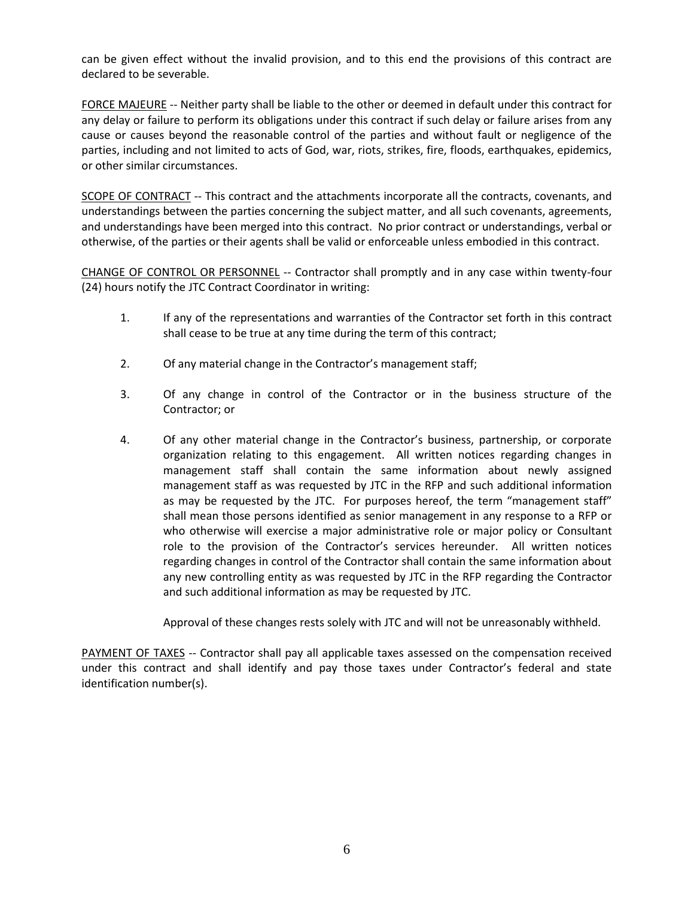can be given effect without the invalid provision, and to this end the provisions of this contract are declared to be severable.

FORCE MAJEURE -- Neither party shall be liable to the other or deemed in default under this contract for any delay or failure to perform its obligations under this contract if such delay or failure arises from any cause or causes beyond the reasonable control of the parties and without fault or negligence of the parties, including and not limited to acts of God, war, riots, strikes, fire, floods, earthquakes, epidemics, or other similar circumstances.

SCOPE OF CONTRACT -- This contract and the attachments incorporate all the contracts, covenants, and understandings between the parties concerning the subject matter, and all such covenants, agreements, and understandings have been merged into this contract. No prior contract or understandings, verbal or otherwise, of the parties or their agents shall be valid or enforceable unless embodied in this contract.

CHANGE OF CONTROL OR PERSONNEL -- Contractor shall promptly and in any case within twenty-four (24) hours notify the JTC Contract Coordinator in writing:

- 1. If any of the representations and warranties of the Contractor set forth in this contract shall cease to be true at any time during the term of this contract;
- 2. Of any material change in the Contractor's management staff;
- 3. Of any change in control of the Contractor or in the business structure of the Contractor; or
- 4. Of any other material change in the Contractor's business, partnership, or corporate organization relating to this engagement. All written notices regarding changes in management staff shall contain the same information about newly assigned management staff as was requested by JTC in the RFP and such additional information as may be requested by the JTC. For purposes hereof, the term "management staff" shall mean those persons identified as senior management in any response to a RFP or who otherwise will exercise a major administrative role or major policy or Consultant role to the provision of the Contractor's services hereunder. All written notices regarding changes in control of the Contractor shall contain the same information about any new controlling entity as was requested by JTC in the RFP regarding the Contractor and such additional information as may be requested by JTC.

Approval of these changes rests solely with JTC and will not be unreasonably withheld.

PAYMENT OF TAXES -- Contractor shall pay all applicable taxes assessed on the compensation received under this contract and shall identify and pay those taxes under Contractor's federal and state identification number(s).